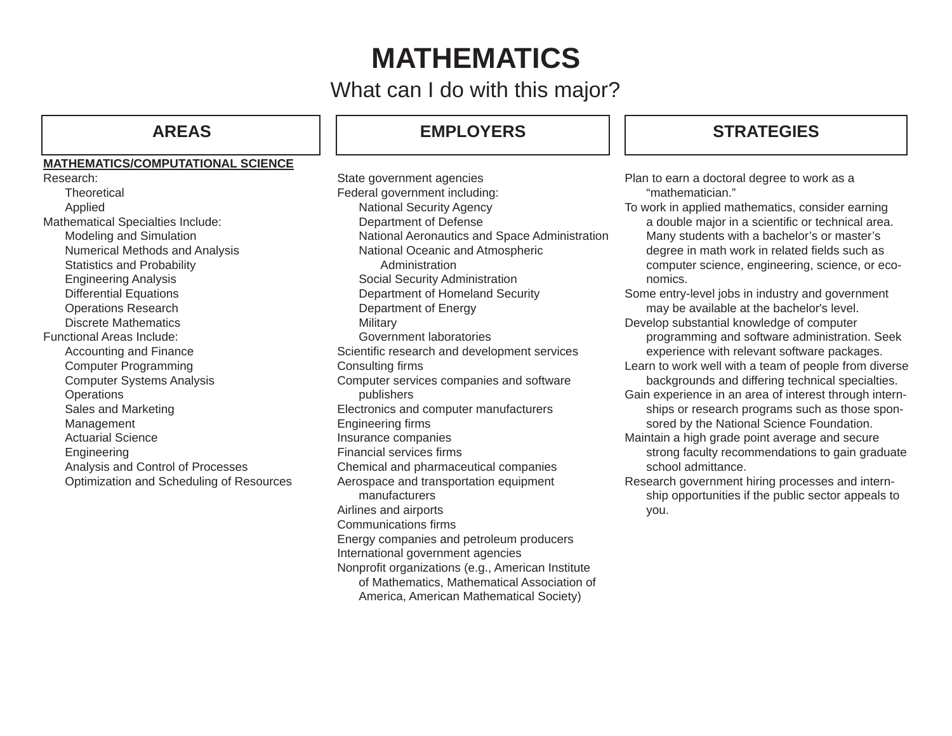# **MATHEMATICS**

What can I do with this major?

### **MATHEMATICS/COMPUTATIONAL SCIENCE**

Research:**Theoretical** Applied Mathematical Specialties Include: Modeling and Simulation Numerical Methods and Analysis Statistics and Probability Engineering Analysis Differential Equations Operations Research Discrete MathematicsFunctional Areas Include:Accounting and Finance Computer Programming Computer Systems Analysis **Operations** Sales and Marketing Management Actuarial ScienceEngineering Analysis and Control of Processes Optimization and Scheduling of Resources

# **AREAS EMPLOYERS**

State government agencies Federal government including: National Security Agency Department of Defense National Aeronautics and Space Administration National Oceanic and Atmospheric Administration Social Security Administration Department of Homeland Security Department of Energy **Military**  Government laboratoriesScientific research and development services Consulting firms Computer services companies and software publishers Electronics and computer manufacturers Engineering firms Insurance companies Financial services firms Chemical and pharmaceutical companies Aerospace and transportation equipment manufacturersAirlines and airports Communications firms Energy companies and petroleum producers International government agencies Nonprofit organizations (e.g., American Institute of Mathematics, Mathematical Association of America, American Mathematical Society)

# **STRATEGIES**

Plan to earn a doctoral degree to work as a "mathematician."

To work in applied mathematics, consider earning a double major in a scientific or technical area. Many students with a bachelor's or master's degree in math work in related fields such as computer science, engineering, science, or economics.

Some entry-level jobs in industry and government may be available at the bachelor's level.

Develop substantial knowledge of computer programming and software administration. Seek experience with relevant software packages.

Learn to work well with a team of people from diverse backgrounds and differing technical specialties.

Gain experience in an area of interest through internships or research programs such as those sponsored by the National Science Foundation.

Maintain a high grade point average and secure strong faculty recommendations to gain graduate school admittance.

Research government hiring processes and internship opportunities if the public sector appeals to you.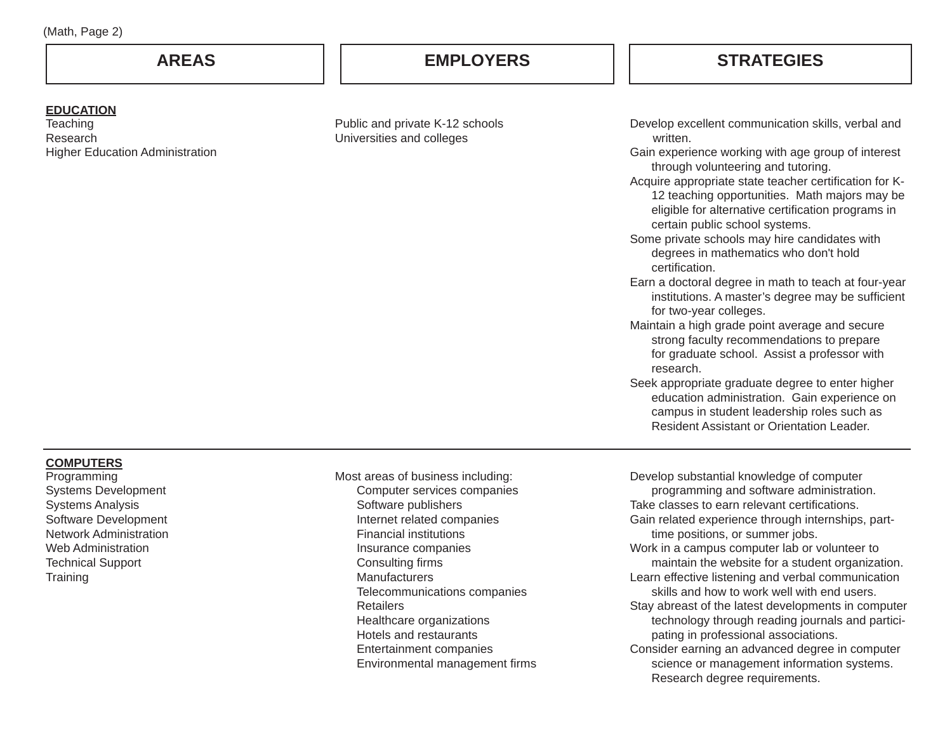## **AREAS EMPLOYERS**

# **STRATEGIES**

#### **EDUCATION**

**Teaching** ResearchHigher Education Administration

Public and private K-12 schools Universities and colleges

Develop excellent communication skills, verbal and written.

Gain experience working with age group of interest through volunteering and tutoring.

- Acquire appropriate state teacher certification for K- 12 teaching opportunities. Math majors may be eligible for alternative certification programs in certain public school systems.
- Some private schools may hire candidates with degrees in mathematics who don't hold certification.
- Earn a doctoral degree in math to teach at four-year institutions. A master's degree may be sufficient for two-year colleges.
- Maintain a high grade point average and secure strong faculty recommendations to prepare for graduate school. Assist a professor with research.
- Seek appropriate graduate degree to enter higher education administration. Gain experience on campus in student leadership roles such as Resident Assistant or Orientation Leader.

#### **COMPUTERS**

Programming Systems Development Systems Analysis Software Development Network AdministrationWeb AdministrationTechnical Support **Training** 

Most areas of business including: Computer services companies Software publishers Internet related companies Financial institutions Insurance companies Consulting firms Manufacturers Telecommunications companies **Retailers**  Healthcare organizations Hotels and restaurants Entertainment companies Environmental management firms Develop substantial knowledge of computer programming and software administration. Take classes to earn relevant certifications. Gain related experience through internships, parttime positions, or summer jobs. Work in a campus computer lab or volunteer to maintain the website for a student organization. Learn effective listening and verbal communication skills and how to work well with end users.Stay abreast of the latest developments in computer technology through reading journals and participating in professional associations. Consider earning an advanced degree in computer science or management information systems.

Research degree requirements.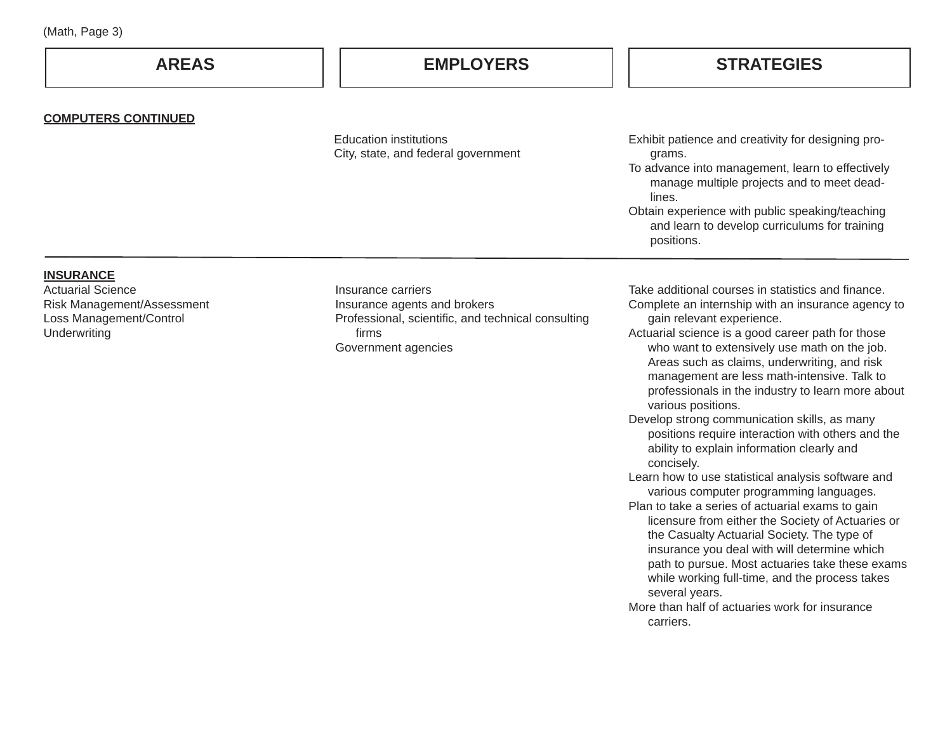| (Math, Page 3) |  |  |
|----------------|--|--|
|----------------|--|--|

| (Math, Page 3)                                                                                                        |                                                                                                                                          |                                                                                                                                                                                                                                                                                                                                                                                                                                                                                                                                                                                                                                                                                                                                                                                                                                                                                                |  |
|-----------------------------------------------------------------------------------------------------------------------|------------------------------------------------------------------------------------------------------------------------------------------|------------------------------------------------------------------------------------------------------------------------------------------------------------------------------------------------------------------------------------------------------------------------------------------------------------------------------------------------------------------------------------------------------------------------------------------------------------------------------------------------------------------------------------------------------------------------------------------------------------------------------------------------------------------------------------------------------------------------------------------------------------------------------------------------------------------------------------------------------------------------------------------------|--|
| <b>AREAS</b>                                                                                                          | <b>EMPLOYERS</b>                                                                                                                         | <b>STRATEGIES</b>                                                                                                                                                                                                                                                                                                                                                                                                                                                                                                                                                                                                                                                                                                                                                                                                                                                                              |  |
| <b>COMPUTERS CONTINUED</b>                                                                                            |                                                                                                                                          |                                                                                                                                                                                                                                                                                                                                                                                                                                                                                                                                                                                                                                                                                                                                                                                                                                                                                                |  |
|                                                                                                                       | <b>Education institutions</b><br>City, state, and federal government                                                                     | Exhibit patience and creativity for designing pro-<br>grams.<br>To advance into management, learn to effectively<br>manage multiple projects and to meet dead-<br>lines.<br>Obtain experience with public speaking/teaching<br>and learn to develop curriculums for training<br>positions.                                                                                                                                                                                                                                                                                                                                                                                                                                                                                                                                                                                                     |  |
| <b>INSURANCE</b><br><b>Actuarial Science</b><br>Risk Management/Assessment<br>Loss Management/Control<br>Underwriting | Insurance carriers<br>Insurance agents and brokers<br>Professional, scientific, and technical consulting<br>firms<br>Government agencies | Take additional courses in statistics and finance.<br>Complete an internship with an insurance agency to<br>gain relevant experience.<br>Actuarial science is a good career path for those<br>who want to extensively use math on the job.<br>Areas such as claims, underwriting, and risk<br>management are less math-intensive. Talk to<br>professionals in the industry to learn more about<br>various positions.<br>Develop strong communication skills, as many<br>positions require interaction with others and the<br>ability to explain information clearly and<br>concisely.<br>Learn how to use statistical analysis software and<br>various computer programming languages.<br>Plan to take a series of actuarial exams to gain<br>licensure from either the Society of Actuaries or<br>the Casualty Actuarial Society. The type of<br>insurance you deal with will determine which |  |

path to pursue. Most actuaries take these exams while working full-time, and the process takes

More than half of actuaries work for insurance

several years.

carriers.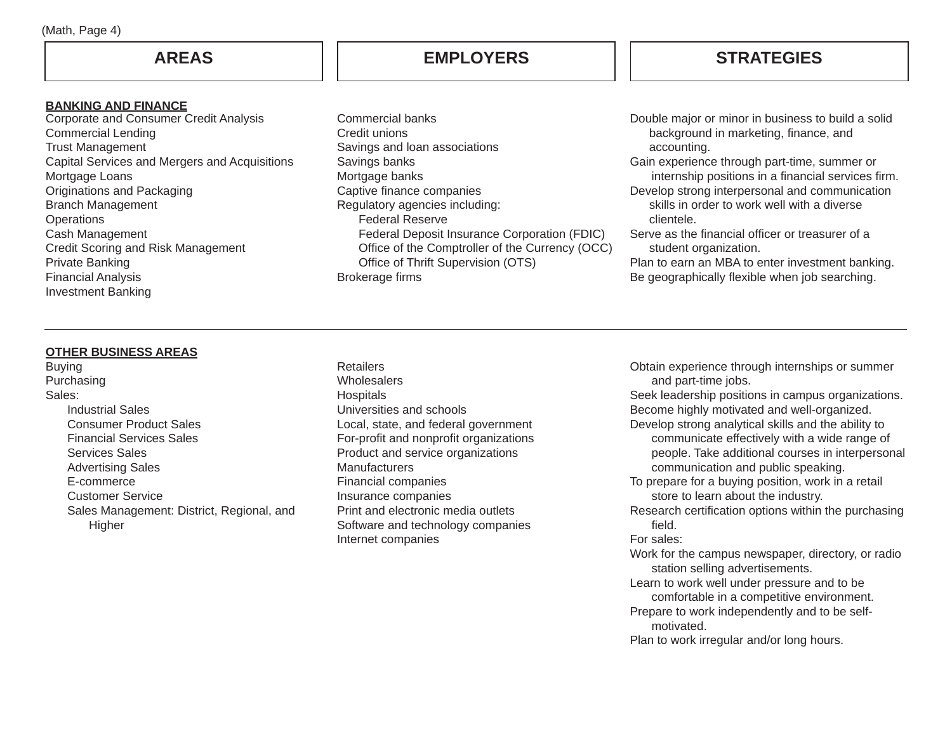#### **BANKING AND FINANCE**

 Corporate and Consumer Credit Analysis Commercial Lending Trust Management Capital Services and Mergers and Acquisitions Mortgage Loans Originations and Packaging Branch Management **Operations** Cash Management Credit Scoring and Risk Management Private Banking Financial Analysis Investment Banking

# **AREAS EMPLOYERS**

# **STRATEGIES**

Commercial banksCredit unionsSavings and loan associations Savings banks Mortgage banks Captive finance companies Regulatory agencies including: Federal Reserve Federal Deposit Insurance Corporation (FDIC) Office of the Comptroller of the Currency (OCC) Office of Thrift Supervision (OTS) Brokerage firms

Double major or minor in business to build a solid background in marketing, finance, and accounting.

Gain experience through part-time, summer or internship positions in a financial services firm. Develop strong interpersonal and communication

 skills in order to work well with a diverse clientele.

Serve as the financial officer or treasurer of a student organization.

Plan to earn an MBA to enter investment banking. Be geographically flexible when job searching.

### **OTHER BUSINESS AREAS**

Buying Purchasing Sales: Industrial Sales Consumer Product Sales Financial Services Sales Services Sales Advertising Sales E-commerce Customer Service Sales Management: District, Regional, and Higher

**Retailers Wholesalers Hospitals** Universities and schoolsLocal, state, and federal government For-profit and nonprofit organizations Product and service organizations **Manufacturers** Financial companies Insurance companies Print and electronic media outletsSoftware and technology companies Internet companies

Obtain experience through internships or summer and part-time jobs. Seek leadership positions in campus organizations.

Become highly motivated and well-organized. Develop strong analytical skills and the ability to

- communicate effectively with a wide range of people. Take additional courses in interpersonal communication and public speaking.
- To prepare for a buying position, work in a retail store to learn about the industry.

Research certification options within the purchasing field.

#### For sales:

Work for the campus newspaper, directory, or radio station selling advertisements.

- Learn to work well under pressure and to be comfortable in a competitive environment.
- Prepare to work independently and to be self motivated.

Plan to work irregular and/or long hours.